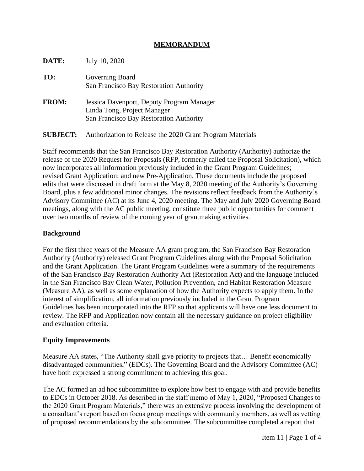### **MEMORANDUM**

| DATE:           | July 10, 2020                                                                                                       |
|-----------------|---------------------------------------------------------------------------------------------------------------------|
| TO:             | Governing Board<br>San Francisco Bay Restoration Authority                                                          |
| <b>FROM:</b>    | Jessica Davenport, Deputy Program Manager<br>Linda Tong, Project Manager<br>San Francisco Bay Restoration Authority |
| <b>SUBJECT:</b> | Authorization to Release the 2020 Grant Program Materials                                                           |

Staff recommends that the San Francisco Bay Restoration Authority (Authority) authorize the release of the 2020 Request for Proposals (RFP, formerly called the Proposal Solicitation), which now incorporates all information previously included in the Grant Program Guidelines; revised Grant Application; and new Pre-Application. These documents include the proposed edits that were discussed in draft form at the May 8, 2020 meeting of the Authority's Governing Board, plus a few additional minor changes. The revisions reflect feedback from the Authority's Advisory Committee (AC) at its June 4, 2020 meeting. The May and July 2020 Governing Board meetings, along with the AC public meeting, constitute three public opportunities for comment over two months of review of the coming year of grantmaking activities.

### **Background**

For the first three years of the Measure AA grant program, the San Francisco Bay Restoration Authority (Authority) released Grant Program Guidelines along with the Proposal Solicitation and the Grant Application. The Grant Program Guidelines were a summary of the requirements of the San Francisco Bay Restoration Authority Act (Restoration Act) and the language included in the San Francisco Bay Clean Water, Pollution Prevention, and Habitat Restoration Measure (Measure AA), as well as some explanation of how the Authority expects to apply them. In the interest of simplification, all information previously included in the Grant Program Guidelines has been incorporated into the RFP so that applicants will have one less document to review. The RFP and Application now contain all the necessary guidance on project eligibility and evaluation criteria.

### **Equity Improvements**

Measure AA states, "The Authority shall give priority to projects that… Benefit economically disadvantaged communities," (EDCs). The Governing Board and the Advisory Committee (AC) have both expressed a strong commitment to achieving this goal.

The AC formed an ad hoc subcommittee to explore how best to engage with and provide benefits to EDCs in October 2018. As described in the staff memo of May 1, 2020, "Proposed Changes to the 2020 Grant Program Materials," there was an extensive process involving the development of a consultant's report based on focus group meetings with community members, as well as vetting of proposed recommendations by the subcommittee. The subcommittee completed a report that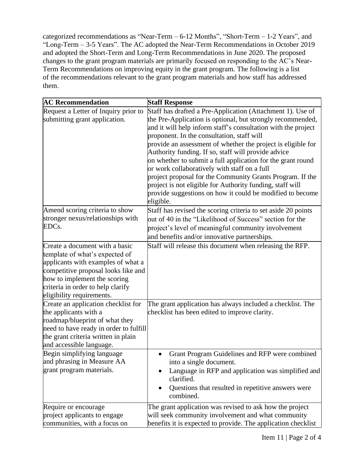categorized recommendations as "Near-Term – 6-12 Months", "Short-Term – 1-2 Years", and "Long-Term – 3-5 Years". The AC adopted the Near-Term Recommendations in October 2019 and adopted the Short-Term and Long-Term Recommendations in June 2020. The proposed changes to the grant program materials are primarily focused on responding to the AC's Near-Term Recommendations on improving equity in the grant program. The following is a list of the recommendations relevant to the grant program materials and how staff has addressed them.

| <b>AC Recommendation</b>                                                                                                                                                                                                                        | <b>Staff Response</b>                                                                                                                                                                                                                                                                                                                                                                                                                                                                                                                                                                                                                                                             |
|-------------------------------------------------------------------------------------------------------------------------------------------------------------------------------------------------------------------------------------------------|-----------------------------------------------------------------------------------------------------------------------------------------------------------------------------------------------------------------------------------------------------------------------------------------------------------------------------------------------------------------------------------------------------------------------------------------------------------------------------------------------------------------------------------------------------------------------------------------------------------------------------------------------------------------------------------|
| Request a Letter of Inquiry prior to<br>submitting grant application.                                                                                                                                                                           | Staff has drafted a Pre-Application (Attachment 1). Use of<br>the Pre-Application is optional, but strongly recommended,<br>and it will help inform staff's consultation with the project<br>proponent. In the consultation, staff will<br>provide an assessment of whether the project is eligible for<br>Authority funding. If so, staff will provide advice<br>on whether to submit a full application for the grant round<br>or work collaboratively with staff on a full<br>project proposal for the Community Grants Program. If the<br>project is not eligible for Authority funding, staff will<br>provide suggestions on how it could be modified to become<br>eligible. |
| Amend scoring criteria to show<br>stronger nexus/relationships with<br>EDCs.                                                                                                                                                                    | Staff has revised the scoring criteria to set aside 20 points<br>out of 40 in the "Likelihood of Success" section for the<br>project's level of meaningful community involvement<br>and benefits and/or innovative partnerships.                                                                                                                                                                                                                                                                                                                                                                                                                                                  |
| Create a document with a basic<br>template of what's expected of<br>applicants with examples of what a<br>competitive proposal looks like and<br>how to implement the scoring<br>criteria in order to help clarify<br>eligibility requirements. | Staff will release this document when releasing the RFP.                                                                                                                                                                                                                                                                                                                                                                                                                                                                                                                                                                                                                          |
| Create an application checklist for<br>the applicants with a<br>roadmap/blueprint of what they<br>need to have ready in order to fulfill<br>the grant criteria written in plain<br>and accessible language.                                     | The grant application has always included a checklist. The<br>checklist has been edited to improve clarity.                                                                                                                                                                                                                                                                                                                                                                                                                                                                                                                                                                       |
| Begin simplifying language<br>and phrasing in Measure AA<br>grant program materials.                                                                                                                                                            | Grant Program Guidelines and RFP were combined<br>into a single document.<br>Language in RFP and application was simplified and<br>clarified.<br>Questions that resulted in repetitive answers were<br>combined.                                                                                                                                                                                                                                                                                                                                                                                                                                                                  |
| Require or encourage<br>project applicants to engage<br>communities, with a focus on                                                                                                                                                            | The grant application was revised to ask how the project<br>will seek community involvement and what community<br>benefits it is expected to provide. The application checklist                                                                                                                                                                                                                                                                                                                                                                                                                                                                                                   |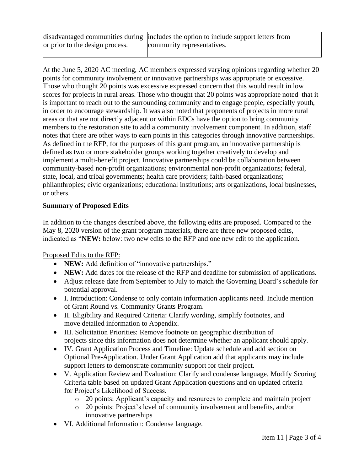|                                 | disadvantaged communities during includes the option to include support letters from |
|---------------------------------|--------------------------------------------------------------------------------------|
| or prior to the design process. | community representatives.                                                           |
|                                 |                                                                                      |

At the June 5, 2020 AC meeting, AC members expressed varying opinions regarding whether 20 points for community involvement or innovative partnerships was appropriate or excessive. Those who thought 20 points was excessive expressed concern that this would result in low scores for projects in rural areas. Those who thought that 20 points was appropriate noted that it is important to reach out to the surrounding community and to engage people, especially youth, in order to encourage stewardship. It was also noted that proponents of projects in more rural areas or that are not directly adjacent or within EDCs have the option to bring community members to the restoration site to add a community involvement component. In addition, staff notes that there are other ways to earn points in this categories through innovative partnerships. As defined in the RFP, for the purposes of this grant program, an innovative partnership is defined as two or more stakeholder groups working together creatively to develop and implement a multi-benefit project. Innovative partnerships could be collaboration between community-based non-profit organizations; environmental non-profit organizations; federal, state, local, and tribal governments; health care providers; faith-based organizations; philanthropies; civic organizations; educational institutions; arts organizations, local businesses, or others.

# **Summary of Proposed Edits**

In addition to the changes described above, the following edits are proposed. Compared to the May 8, 2020 version of the grant program materials, there are three new proposed edits, indicated as "**NEW:** below: two new edits to the RFP and one new edit to the application.

# Proposed Edits to the RFP:

- **NEW:** Add definition of "innovative partnerships."
- **NEW:** Add dates for the release of the RFP and deadline for submission of applications.
- Adjust release date from September to July to match the Governing Board's schedule for potential approval.
- I. Introduction: Condense to only contain information applicants need. Include mention of Grant Round vs. Community Grants Program.
- II. Eligibility and Required Criteria: Clarify wording, simplify footnotes, and move detailed information to Appendix.
- III. Solicitation Priorities: Remove footnote on geographic distribution of projects since this information does not determine whether an applicant should apply.
- IV. Grant Application Process and Timeline: Update schedule and add section on Optional Pre-Application. Under Grant Application add that applicants may include support letters to demonstrate community support for their project.
- V. Application Review and Evaluation: Clarify and condense language. Modify Scoring Criteria table based on updated Grant Application questions and on updated criteria for Project's Likelihood of Success.
	- o 20 points: Applicant's capacity and resources to complete and maintain project
	- o 20 points: Project's level of community involvement and benefits, and/or innovative partnerships
- VI. Additional Information: Condense language.